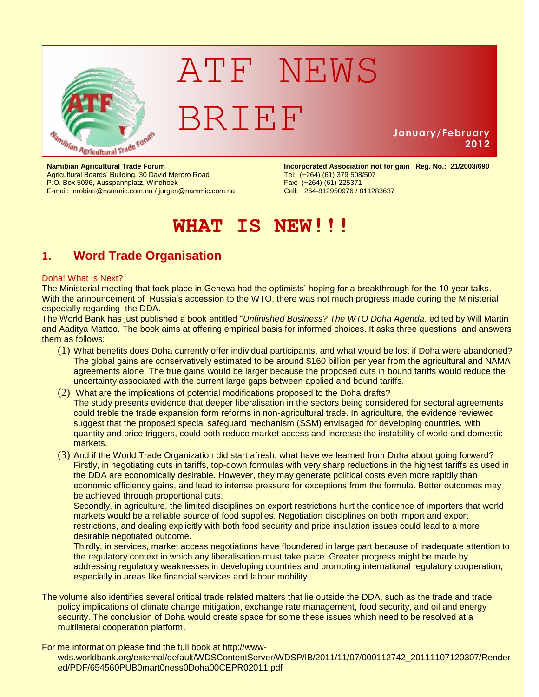

# ATF NEWS BRIEF

## **January/February 2012**

Agricultural Boards' Building, 30 David Meroro Road P.O. Box 5096, Ausspannplatz, Windhoek Fax: (+264) (61) 225371 E-mail: [nrobiati@nammic.com.na](mailto:nrobiati@nammic.com.na) / [jurgen@nammic.com.na](mailto:jurgen@nammic.com.na)

**Namibian Agricultural Trade Forum incorporated Association not for gain Reg. No.: 21/2003/690**<br>Agricultural Boards' Building, 30 David Meroro Road **Incorporated (+264)** (61) 379 508/507

# **WHAT IS NEW!!!**

# **1. Word Trade Organisation**

#### Doha! What Is Next?

The Ministerial meeting that took place in Geneva had the optimists' hoping for a breakthrough for the 10 year talks. With the announcement of Russia's accession to the WTO, there was not much progress made during the Ministerial especially regarding the DDA.

The World Bank has just published a book entitled "*Unfinished Business? The WTO Doha Agenda*, edited by Will Martin and Aaditya Mattoo. The book aims at offering empirical basis for informed choices. It asks three questions and answers them as follows:

- (1) What benefits does Doha currently offer individual participants, and what would be lost if Doha were abandoned? The global gains are conservatively estimated to be around \$160 billion per year from the agricultural and NAMA agreements alone. The true gains would be larger because the proposed cuts in bound tariffs would reduce the uncertainty associated with the current large gaps between applied and bound tariffs.
- (2) What are the implications of potential modifications proposed to the Doha drafts? The study presents evidence that deeper liberalisation in the sectors being considered for sectoral agreements could treble the trade expansion form reforms in non-agricultural trade. In agriculture, the evidence reviewed suggest that the proposed special safeguard mechanism (SSM) envisaged for developing countries, with quantity and price triggers, could both reduce market access and increase the instability of world and domestic markets.
- (3) And if the World Trade Organization did start afresh, what have we learned from Doha about going forward? Firstly, in negotiating cuts in tariffs, top-down formulas with very sharp reductions in the highest tariffs as used in the DDA are economically desirable. However, they may generate political costs even more rapidly than economic efficiency gains, and lead to intense pressure for exceptions from the formula. Better outcomes may be achieved through proportional cuts.

Secondly, in agriculture, the limited disciplines on export restrictions hurt the confidence of importers that world markets would be a reliable source of food supplies. Negotiation disciplines on both import and export restrictions, and dealing explicitly with both food security and price insulation issues could lead to a more desirable negotiated outcome.

Thirdly, in services, market access negotiations have floundered in large part because of inadequate attention to the regulatory context in which any liberalisation must take place. Greater progress might be made by addressing regulatory weaknesses in developing countries and promoting international regulatory cooperation, especially in areas like financial services and labour mobility.

The volume also identifies several critical trade related matters that lie outside the DDA, such as the trade and trade policy implications of climate change mitigation, exchange rate management, food security, and oil and energy security. The conclusion of Doha would create space for some these issues which need to be resolved at a multilateral cooperation platform.

For me information please find the full book at http://wwwwds.worldbank.org/external/default/WDSContentServer/WDSP/IB/2011/11/07/000112742\_20111107120307/Render ed/PDF/654560PUB0mart0ness0Doha00CEPR02011.pdf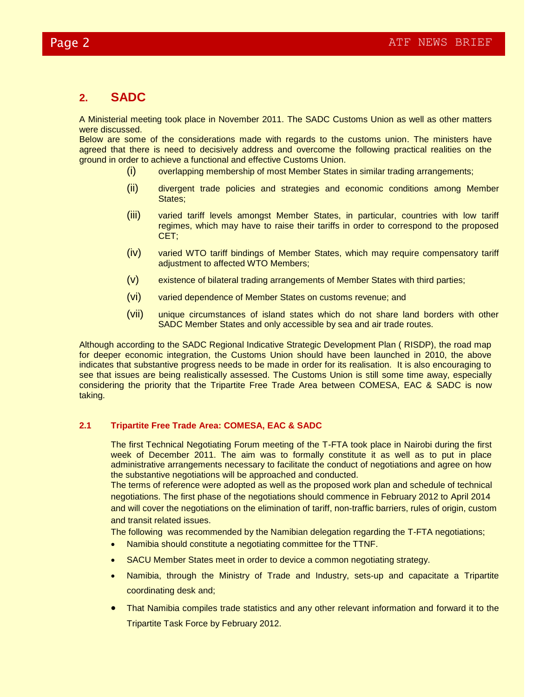# **2. SADC**

A Ministerial meeting took place in November 2011. The SADC Customs Union as well as other matters were discussed.

Below are some of the considerations made with regards to the customs union. The ministers have agreed that there is need to decisively address and overcome the following practical realities on the ground in order to achieve a functional and effective Customs Union.

- (i) overlapping membership of most Member States in similar trading arrangements;
- (ii) divergent trade policies and strategies and economic conditions among Member States;
- (iii) varied tariff levels amongst Member States, in particular, countries with low tariff regimes, which may have to raise their tariffs in order to correspond to the proposed CET;
- (iv) varied WTO tariff bindings of Member States, which may require compensatory tariff adjustment to affected WTO Members;
- (v) existence of bilateral trading arrangements of Member States with third parties;
- (vi) varied dependence of Member States on customs revenue; and
- (vii) unique circumstances of island states which do not share land borders with other SADC Member States and only accessible by sea and air trade routes.

Although according to the SADC Regional Indicative Strategic Development Plan ( RISDP), the road map for deeper economic integration, the Customs Union should have been launched in 2010, the above indicates that substantive progress needs to be made in order for its realisation. It is also encouraging to see that issues are being realistically assessed. The Customs Union is still some time away, especially considering the priority that the Tripartite Free Trade Area between COMESA, EAC & SADC is now taking.

#### **2.1 Tripartite Free Trade Area: COMESA, EAC & SADC**

The first Technical Negotiating Forum meeting of the T-FTA took place in Nairobi during the first week of December 2011. The aim was to formally constitute it as well as to put in place administrative arrangements necessary to facilitate the conduct of negotiations and agree on how the substantive negotiations will be approached and conducted.

The terms of reference were adopted as well as the proposed work plan and schedule of technical negotiations. The first phase of the negotiations should commence in February 2012 to April 2014 and will cover the negotiations on the elimination of tariff, non-traffic barriers, rules of origin, custom and transit related issues.

The following was recommended by the Namibian delegation regarding the T-FTA negotiations;

- Namibia should constitute a negotiating committee for the TTNF.
- SACU Member States meet in order to device a common negotiating strategy.
- Namibia, through the Ministry of Trade and Industry, sets-up and capacitate a Tripartite coordinating desk and;
- That Namibia compiles trade statistics and any other relevant information and forward it to the Tripartite Task Force by February 2012.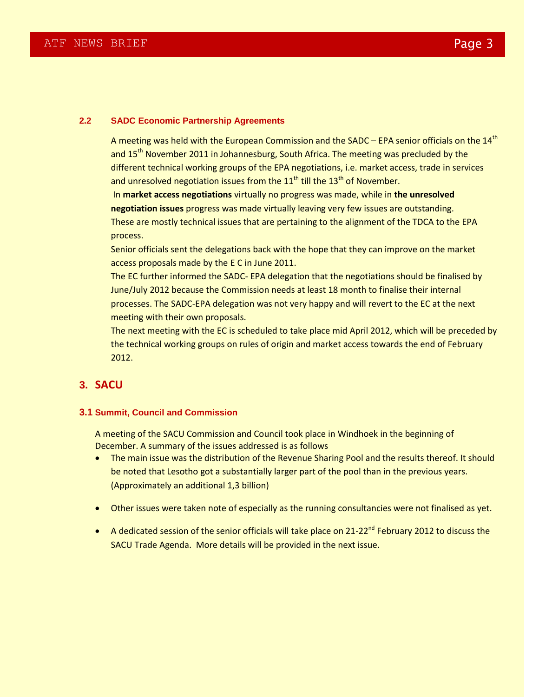#### **2.2 SADC Economic Partnership Agreements**

A meeting was held with the European Commission and the SADC – EPA senior officials on the  $14<sup>th</sup>$ and 15<sup>th</sup> November 2011 in Johannesburg, South Africa. The meeting was precluded by the different technical working groups of the EPA negotiations, i.e. market access, trade in services and unresolved negotiation issues from the  $11<sup>th</sup>$  till the  $13<sup>th</sup>$  of November.

In **market access negotiations** virtually no progress was made, while in **the unresolved negotiation issues** progress was made virtually leaving very few issues are outstanding. These are mostly technical issues that are pertaining to the alignment of the TDCA to the EPA process.

Senior officials sent the delegations back with the hope that they can improve on the market access proposals made by the E C in June 2011.

The EC further informed the SADC- EPA delegation that the negotiations should be finalised by June/July 2012 because the Commission needs at least 18 month to finalise their internal processes. The SADC-EPA delegation was not very happy and will revert to the EC at the next meeting with their own proposals.

The next meeting with the EC is scheduled to take place mid April 2012, which will be preceded by the technical working groups on rules of origin and market access towards the end of February 2012.

### **3. SACU**

#### **3.1 Summit, Council and Commission**

A meeting of the SACU Commission and Council took place in Windhoek in the beginning of December. A summary of the issues addressed is as follows

- The main issue was the distribution of the Revenue Sharing Pool and the results thereof. It should be noted that Lesotho got a substantially larger part of the pool than in the previous years. (Approximately an additional 1,3 billion)
- Other issues were taken note of especially as the running consultancies were not finalised as yet.
- A dedicated session of the senior officials will take place on 21-22<sup>nd</sup> February 2012 to discuss the SACU Trade Agenda. More details will be provided in the next issue.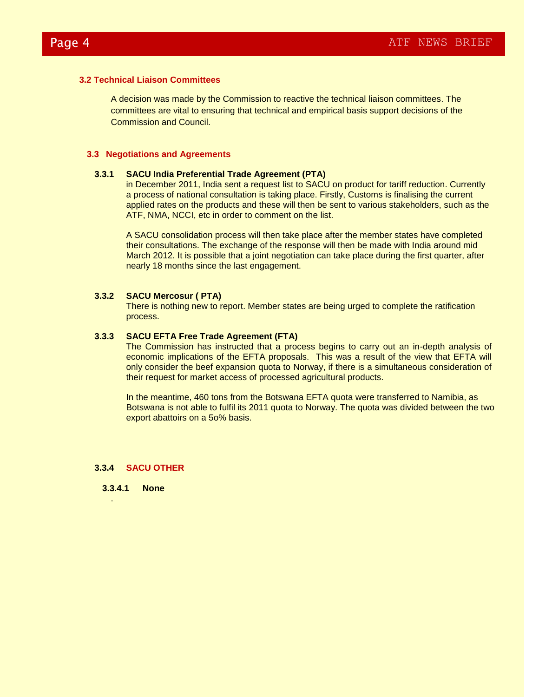#### **3.2 Technical Liaison Committees**

A decision was made by the Commission to reactive the technical liaison committees. The committees are vital to ensuring that technical and empirical basis support decisions of the Commission and Council.

#### **3.3 Negotiations and Agreements**

#### **3.3.1 SACU India Preferential Trade Agreement (PTA)**

in December 2011, India sent a request list to SACU on product for tariff reduction. Currently a process of national consultation is taking place. Firstly, Customs is finalising the current applied rates on the products and these will then be sent to various stakeholders, such as the ATF, NMA, NCCI, etc in order to comment on the list.

A SACU consolidation process will then take place after the member states have completed their consultations. The exchange of the response will then be made with India around mid March 2012. It is possible that a joint negotiation can take place during the first quarter, after nearly 18 months since the last engagement.

#### **3.3.2 SACU Mercosur ( PTA)**

There is nothing new to report. Member states are being urged to complete the ratification process.

#### **3.3.3 SACU EFTA Free Trade Agreement (FTA)**

The Commission has instructed that a process begins to carry out an in-depth analysis of economic implications of the EFTA proposals. This was a result of the view that EFTA will only consider the beef expansion quota to Norway, if there is a simultaneous consideration of their request for market access of processed agricultural products.

In the meantime, 460 tons from the Botswana EFTA quota were transferred to Namibia, as Botswana is not able to fulfil its 2011 quota to Norway. The quota was divided between the two export abattoirs on a 5o% basis.

#### **3.3.4 SACU OTHER**

**3.3.4.1 None**

.